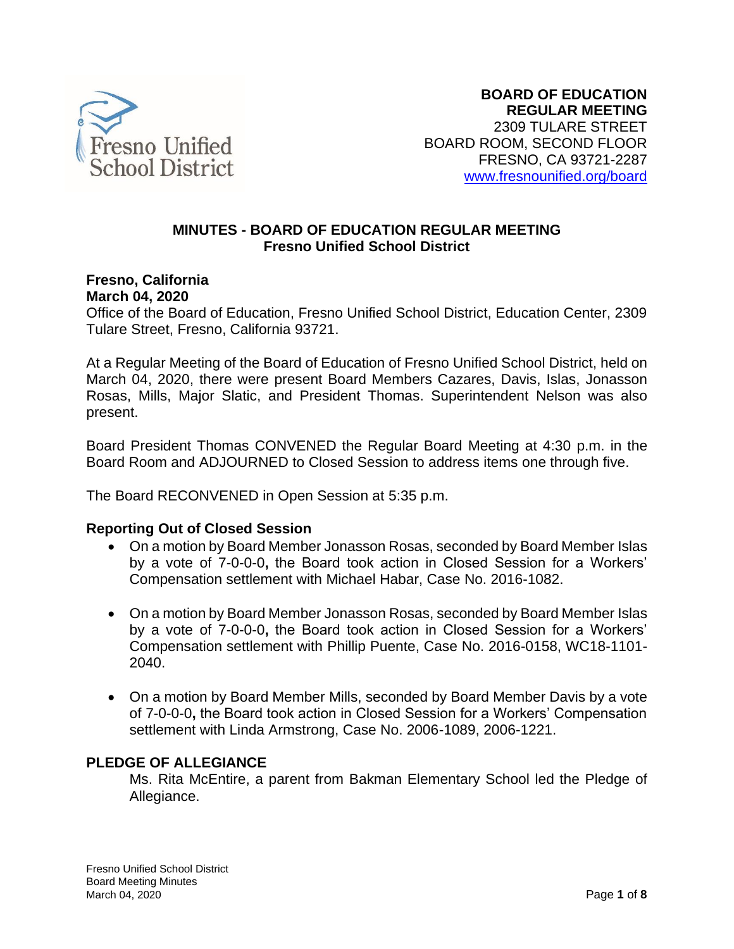

#### **MINUTES - BOARD OF EDUCATION REGULAR MEETING Fresno Unified School District**

#### **Fresno, California March 04, 2020**

Office of the Board of Education, Fresno Unified School District, Education Center, 2309 Tulare Street, Fresno, California 93721.

At a Regular Meeting of the Board of Education of Fresno Unified School District, held on March 04, 2020, there were present Board Members Cazares, Davis, Islas, Jonasson Rosas, Mills, Major Slatic, and President Thomas. Superintendent Nelson was also present.

Board President Thomas CONVENED the Regular Board Meeting at 4:30 p.m. in the Board Room and ADJOURNED to Closed Session to address items one through five.

The Board RECONVENED in Open Session at 5:35 p.m.

#### **Reporting Out of Closed Session**

- On a motion by Board Member Jonasson Rosas, seconded by Board Member Islas by a vote of 7-0-0-0**,** the Board took action in Closed Session for a Workers' Compensation settlement with Michael Habar, Case No. 2016-1082.
- On a motion by Board Member Jonasson Rosas, seconded by Board Member Islas by a vote of 7-0-0-0**,** the Board took action in Closed Session for a Workers' Compensation settlement with Phillip Puente, Case No. 2016-0158, WC18-1101- 2040.
- On a motion by Board Member Mills, seconded by Board Member Davis by a vote of 7-0-0-0**,** the Board took action in Closed Session for a Workers' Compensation settlement with Linda Armstrong, Case No. 2006-1089, 2006-1221.

#### **PLEDGE OF ALLEGIANCE**

Ms. Rita McEntire, a parent from Bakman Elementary School led the Pledge of Allegiance.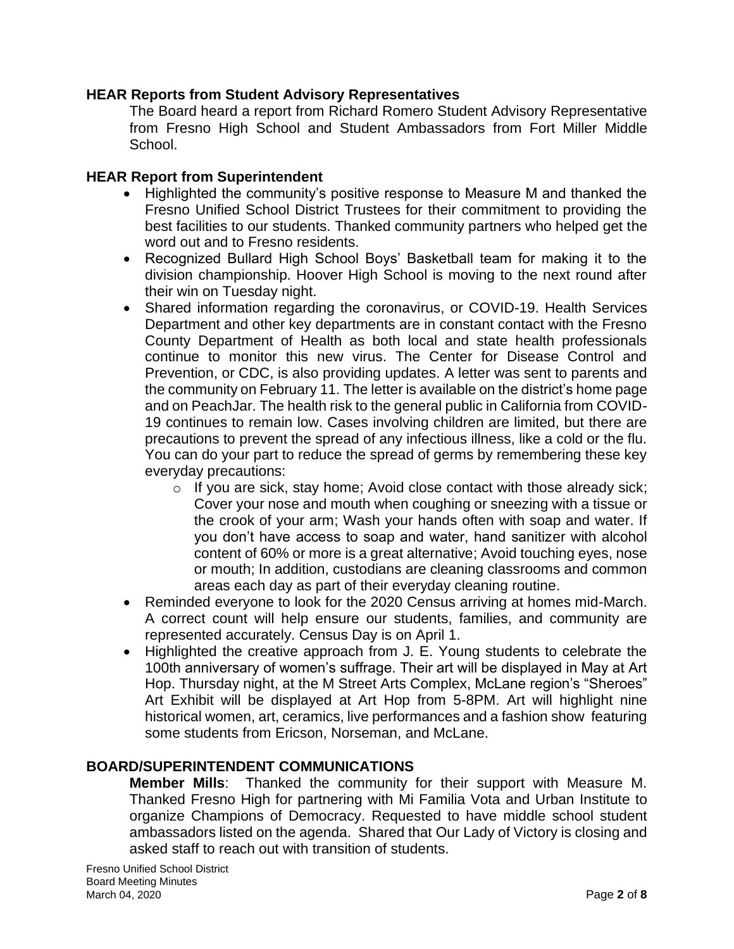#### **HEAR Reports from Student Advisory Representatives**

The Board heard a report from Richard Romero Student Advisory Representative from Fresno High School and Student Ambassadors from Fort Miller Middle School.

### **HEAR Report from Superintendent**

- Highlighted the community's positive response to Measure M and thanked the Fresno Unified School District Trustees for their commitment to providing the best facilities to our students. Thanked community partners who helped get the word out and to Fresno residents.
- Recognized Bullard High School Boys' Basketball team for making it to the division championship. Hoover High School is moving to the next round after their win on Tuesday night.
- Shared information regarding the coronavirus, or COVID-19. Health Services Department and other key departments are in constant contact with the Fresno County Department of Health as both local and state health professionals continue to monitor this new virus. The Center for Disease Control and Prevention, or CDC, is also providing updates. A letter was sent to parents and the community on February 11. The letter is available on the district's home page and on PeachJar. The health risk to the general public in California from COVID-19 continues to remain low. Cases involving children are limited, but there are precautions to prevent the spread of any infectious illness, like a cold or the flu. You can do your part to reduce the spread of germs by remembering these key everyday precautions:
	- o If you are sick, stay home; Avoid close contact with those already sick; Cover your nose and mouth when coughing or sneezing with a tissue or the crook of your arm; Wash your hands often with soap and water. If you don't have access to soap and water, hand sanitizer with alcohol content of 60% or more is a great alternative; Avoid touching eyes, nose or mouth; In addition, custodians are cleaning classrooms and common areas each day as part of their everyday cleaning routine.
- Reminded everyone to look for the 2020 Census arriving at homes mid-March. A correct count will help ensure our students, families, and community are represented accurately. Census Day is on April 1.
- Highlighted the creative approach from J. E. Young students to celebrate the 100th anniversary of women's suffrage. Their art will be displayed in May at Art Hop. Thursday night, at the M Street Arts Complex, McLane region's "Sheroes" Art Exhibit will be displayed at Art Hop from 5-8PM. Art will highlight nine historical women, art, ceramics, live performances and a fashion show featuring some students from Ericson, Norseman, and McLane.

# **BOARD/SUPERINTENDENT COMMUNICATIONS**

**Member Mills**: Thanked the community for their support with Measure M. Thanked Fresno High for partnering with Mi Familia Vota and Urban Institute to organize Champions of Democracy. Requested to have middle school student ambassadors listed on the agenda. Shared that Our Lady of Victory is closing and asked staff to reach out with transition of students.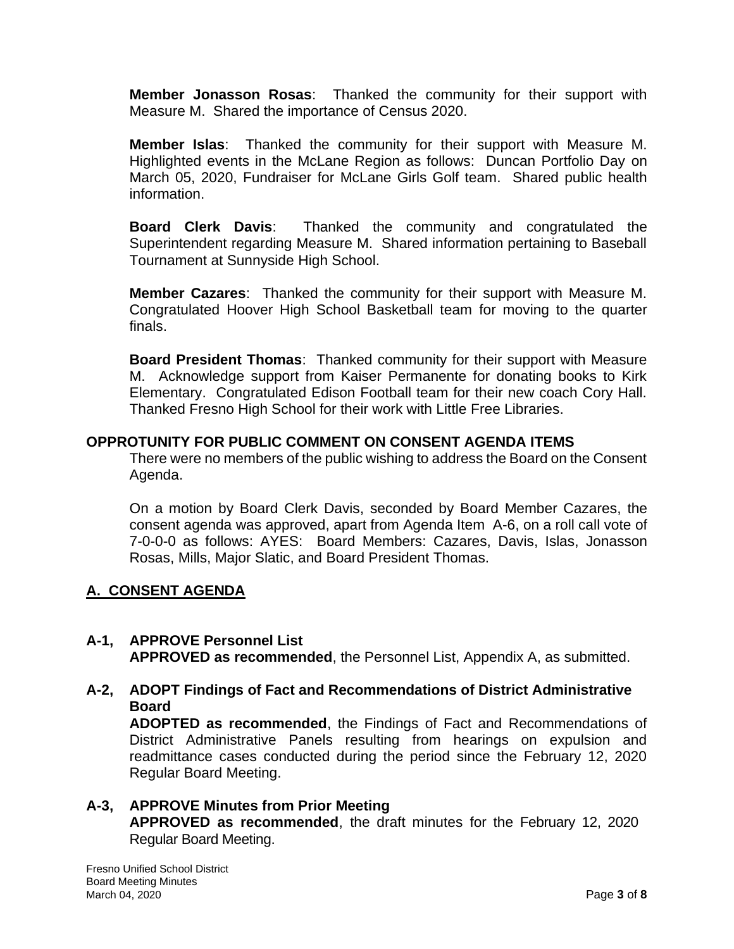**Member Jonasson Rosas**: Thanked the community for their support with Measure M. Shared the importance of Census 2020.

**Member Islas**: Thanked the community for their support with Measure M. Highlighted events in the McLane Region as follows: Duncan Portfolio Day on March 05, 2020, Fundraiser for McLane Girls Golf team. Shared public health information.

**Board Clerk Davis**: Thanked the community and congratulated the Superintendent regarding Measure M. Shared information pertaining to Baseball Tournament at Sunnyside High School.

**Member Cazares**: Thanked the community for their support with Measure M. Congratulated Hoover High School Basketball team for moving to the quarter finals.

**Board President Thomas**: Thanked community for their support with Measure M. Acknowledge support from Kaiser Permanente for donating books to Kirk Elementary. Congratulated Edison Football team for their new coach Cory Hall. Thanked Fresno High School for their work with Little Free Libraries.

#### **OPPROTUNITY FOR PUBLIC COMMENT ON CONSENT AGENDA ITEMS**

There were no members of the public wishing to address the Board on the Consent Agenda.

On a motion by Board Clerk Davis, seconded by Board Member Cazares, the consent agenda was approved, apart from Agenda Item A-6, on a roll call vote of 7-0-0-0 as follows: AYES: Board Members: Cazares, Davis, Islas, Jonasson Rosas, Mills, Major Slatic, and Board President Thomas.

#### **A. CONSENT AGENDA**

#### **A-1, APPROVE Personnel List**

**APPROVED as recommended**, the Personnel List, Appendix A, as submitted.

#### **A-2, ADOPT Findings of Fact and Recommendations of District Administrative Board**

**ADOPTED as recommended**, the Findings of Fact and Recommendations of District Administrative Panels resulting from hearings on expulsion and readmittance cases conducted during the period since the February 12, 2020 Regular Board Meeting.

## **A-3, APPROVE Minutes from Prior Meeting APPROVED as recommended**, the draft minutes for the February 12, 2020 Regular Board Meeting.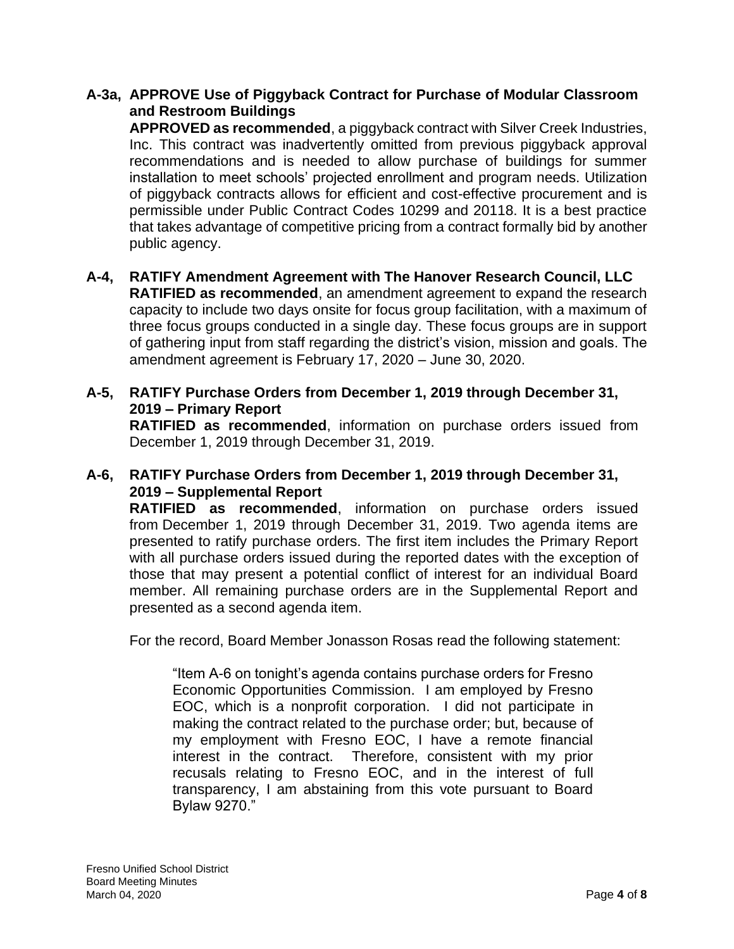### **A-3a, APPROVE Use of Piggyback Contract for Purchase of Modular Classroom and Restroom Buildings**

**APPROVED as recommended**, a piggyback contract with Silver Creek Industries, Inc. This contract was inadvertently omitted from previous piggyback approval recommendations and is needed to allow purchase of buildings for summer installation to meet schools' projected enrollment and program needs. Utilization of piggyback contracts allows for efficient and cost-effective procurement and is permissible under Public Contract Codes 10299 and 20118. It is a best practice that takes advantage of competitive pricing from a contract formally bid by another public agency.

- **A-4, RATIFY Amendment Agreement with The Hanover Research Council, LLC RATIFIED as recommended**, an amendment agreement to expand the research capacity to include two days onsite for focus group facilitation, with a maximum of three focus groups conducted in a single day. These focus groups are in support of gathering input from staff regarding the district's vision, mission and goals. The amendment agreement is February 17, 2020 – June 30, 2020.
- **A-5, RATIFY Purchase Orders from December 1, 2019 through December 31, 2019 – Primary Report**

**RATIFIED as recommended**, information on purchase orders issued from December 1, 2019 through December 31, 2019.

# **A-6, RATIFY Purchase Orders from December 1, 2019 through December 31, 2019 – Supplemental Report**

**RATIFIED as recommended**, information on purchase orders issued from December 1, 2019 through December 31, 2019. Two agenda items are presented to ratify purchase orders. The first item includes the Primary Report with all purchase orders issued during the reported dates with the exception of those that may present a potential conflict of interest for an individual Board member. All remaining purchase orders are in the Supplemental Report and presented as a second agenda item.

For the record, Board Member Jonasson Rosas read the following statement:

"Item A-6 on tonight's agenda contains purchase orders for Fresno Economic Opportunities Commission. I am employed by Fresno EOC, which is a nonprofit corporation. I did not participate in making the contract related to the purchase order; but, because of my employment with Fresno EOC, I have a remote financial interest in the contract. Therefore, consistent with my prior recusals relating to Fresno EOC, and in the interest of full transparency, I am abstaining from this vote pursuant to Board Bylaw 9270."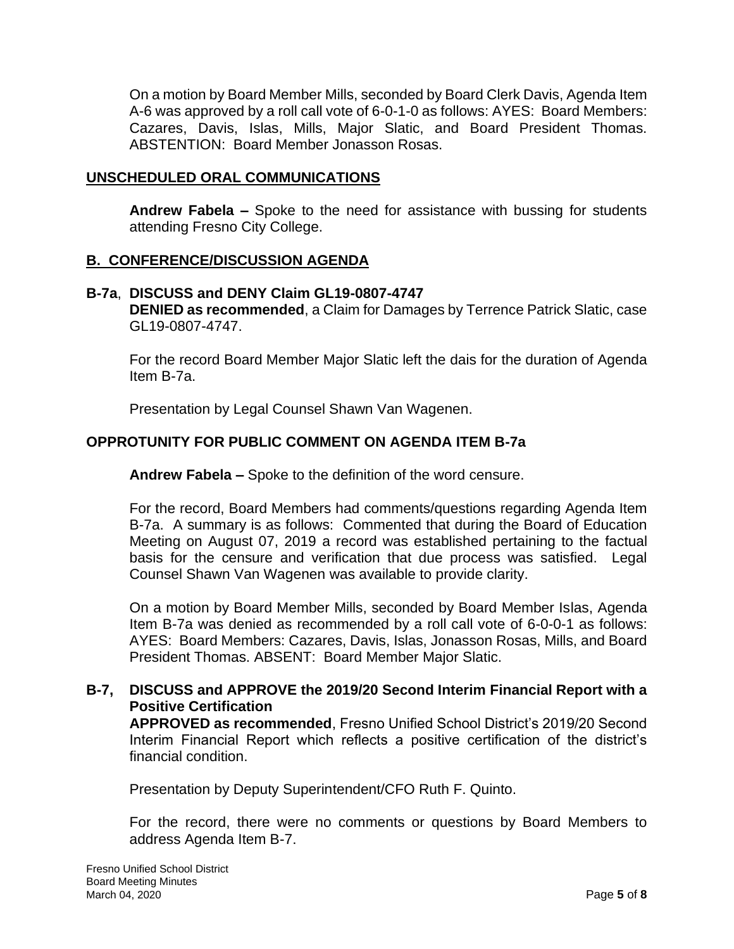On a motion by Board Member Mills, seconded by Board Clerk Davis, Agenda Item A-6 was approved by a roll call vote of 6-0-1-0 as follows: AYES: Board Members: Cazares, Davis, Islas, Mills, Major Slatic, and Board President Thomas. ABSTENTION: Board Member Jonasson Rosas.

#### **UNSCHEDULED ORAL COMMUNICATIONS**

**Andrew Fabela –** Spoke to the need for assistance with bussing for students attending Fresno City College.

#### **B. CONFERENCE/DISCUSSION AGENDA**

#### **B-7a**, **DISCUSS and DENY Claim GL19-0807-4747**

**DENIED as recommended**, a Claim for Damages by Terrence Patrick Slatic, case GL19-0807-4747.

For the record Board Member Major Slatic left the dais for the duration of Agenda Item B-7a.

Presentation by Legal Counsel Shawn Van Wagenen.

## **OPPROTUNITY FOR PUBLIC COMMENT ON AGENDA ITEM B-7a**

**Andrew Fabela –** Spoke to the definition of the word censure.

For the record, Board Members had comments/questions regarding Agenda Item B-7a. A summary is as follows: Commented that during the Board of Education Meeting on August 07, 2019 a record was established pertaining to the factual basis for the censure and verification that due process was satisfied. Legal Counsel Shawn Van Wagenen was available to provide clarity.

On a motion by Board Member Mills, seconded by Board Member Islas, Agenda Item B-7a was denied as recommended by a roll call vote of 6-0-0-1 as follows: AYES: Board Members: Cazares, Davis, Islas, Jonasson Rosas, Mills, and Board President Thomas. ABSENT: Board Member Major Slatic.

#### **B-7, DISCUSS and APPROVE the 2019/20 Second Interim Financial Report with a Positive Certification**

**APPROVED as recommended**, Fresno Unified School District's 2019/20 Second Interim Financial Report which reflects a positive certification of the district's financial condition.

Presentation by Deputy Superintendent/CFO Ruth F. Quinto.

For the record, there were no comments or questions by Board Members to address Agenda Item B-7.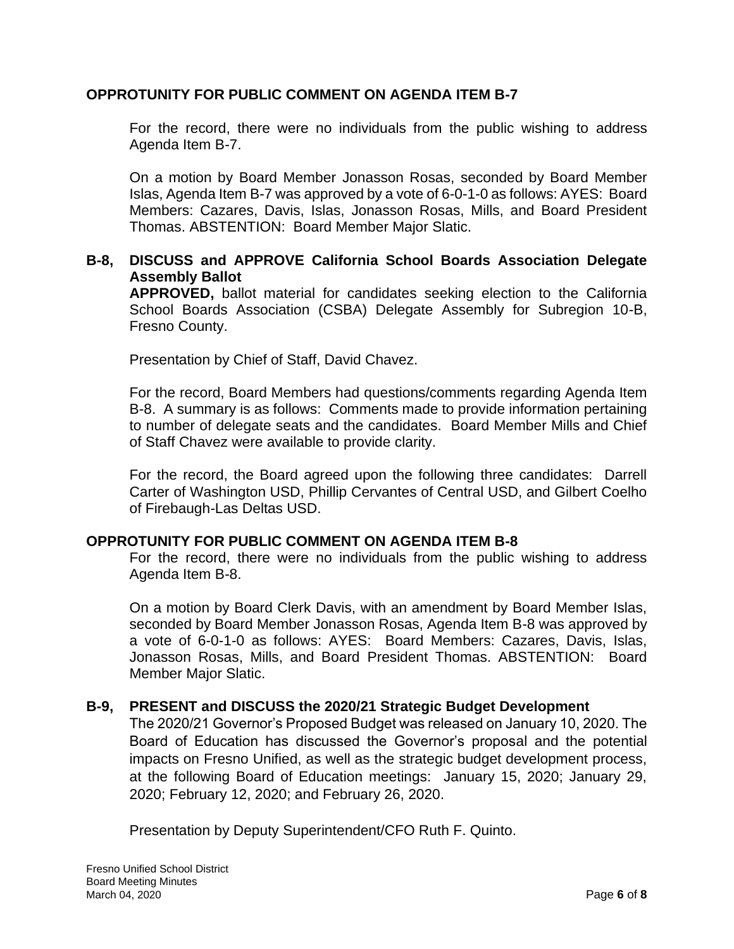### **OPPROTUNITY FOR PUBLIC COMMENT ON AGENDA ITEM B-7**

For the record, there were no individuals from the public wishing to address Agenda Item B-7.

On a motion by Board Member Jonasson Rosas, seconded by Board Member Islas, Agenda Item B-7 was approved by a vote of 6-0-1-0 as follows: AYES: Board Members: Cazares, Davis, Islas, Jonasson Rosas, Mills, and Board President Thomas. ABSTENTION: Board Member Major Slatic.

## **B-8, DISCUSS and APPROVE California School Boards Association Delegate Assembly Ballot**

**APPROVED,** ballot material for candidates seeking election to the California School Boards Association (CSBA) Delegate Assembly for Subregion 10-B, Fresno County.

Presentation by Chief of Staff, David Chavez.

For the record, Board Members had questions/comments regarding Agenda Item B-8. A summary is as follows: Comments made to provide information pertaining to number of delegate seats and the candidates. Board Member Mills and Chief of Staff Chavez were available to provide clarity.

For the record, the Board agreed upon the following three candidates: Darrell Carter of Washington USD, Phillip Cervantes of Central USD, and Gilbert Coelho of Firebaugh-Las Deltas USD.

#### **OPPROTUNITY FOR PUBLIC COMMENT ON AGENDA ITEM B-8**

For the record, there were no individuals from the public wishing to address Agenda Item B-8.

On a motion by Board Clerk Davis, with an amendment by Board Member Islas, seconded by Board Member Jonasson Rosas, Agenda Item B-8 was approved by a vote of 6-0-1-0 as follows: AYES: Board Members: Cazares, Davis, Islas, Jonasson Rosas, Mills, and Board President Thomas. ABSTENTION: Board Member Major Slatic.

#### **B-9, PRESENT and DISCUSS the 2020/21 Strategic Budget Development**

The 2020/21 Governor's Proposed Budget was released on January 10, 2020. The Board of Education has discussed the Governor's proposal and the potential impacts on Fresno Unified, as well as the strategic budget development process, at the following Board of Education meetings: January 15, 2020; January 29, 2020; February 12, 2020; and February 26, 2020.

Presentation by Deputy Superintendent/CFO Ruth F. Quinto.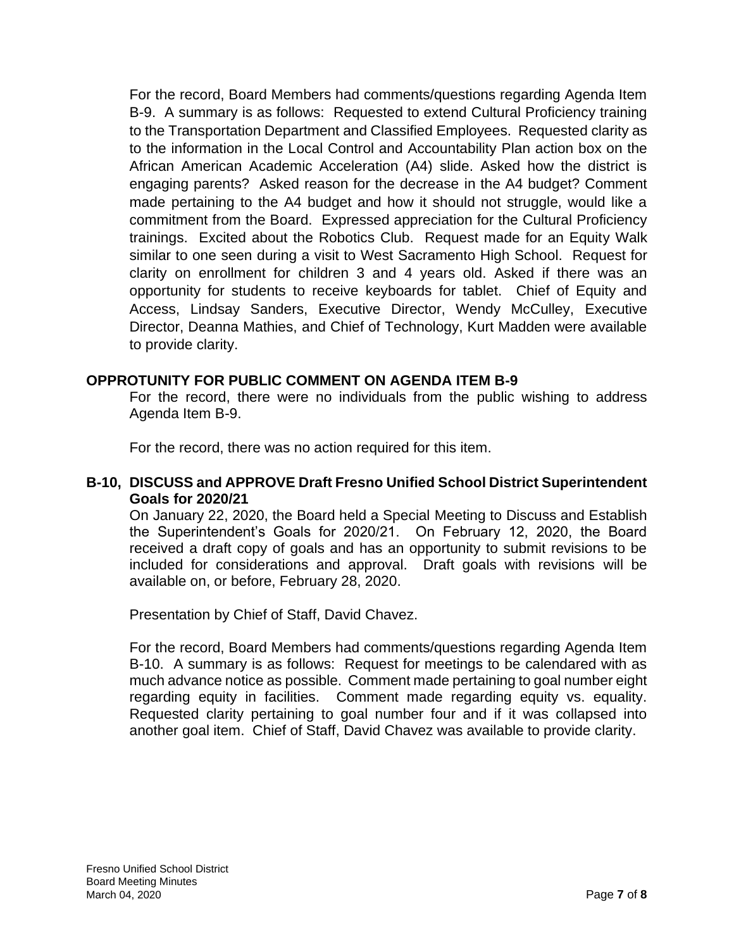For the record, Board Members had comments/questions regarding Agenda Item B-9. A summary is as follows: Requested to extend Cultural Proficiency training to the Transportation Department and Classified Employees. Requested clarity as to the information in the Local Control and Accountability Plan action box on the African American Academic Acceleration (A4) slide. Asked how the district is engaging parents? Asked reason for the decrease in the A4 budget? Comment made pertaining to the A4 budget and how it should not struggle, would like a commitment from the Board. Expressed appreciation for the Cultural Proficiency trainings. Excited about the Robotics Club. Request made for an Equity Walk similar to one seen during a visit to West Sacramento High School. Request for clarity on enrollment for children 3 and 4 years old. Asked if there was an opportunity for students to receive keyboards for tablet. Chief of Equity and Access, Lindsay Sanders, Executive Director, Wendy McCulley, Executive Director, Deanna Mathies, and Chief of Technology, Kurt Madden were available to provide clarity.

#### **OPPROTUNITY FOR PUBLIC COMMENT ON AGENDA ITEM B-9**

For the record, there were no individuals from the public wishing to address Agenda Item B-9.

For the record, there was no action required for this item.

#### **B-10, DISCUSS and APPROVE Draft Fresno Unified School District Superintendent Goals for 2020/21**

On January 22, 2020, the Board held a Special Meeting to Discuss and Establish the Superintendent's Goals for 2020/21. On February 12, 2020, the Board received a draft copy of goals and has an opportunity to submit revisions to be included for considerations and approval. Draft goals with revisions will be available on, or before, February 28, 2020.

Presentation by Chief of Staff, David Chavez.

For the record, Board Members had comments/questions regarding Agenda Item B-10. A summary is as follows: Request for meetings to be calendared with as much advance notice as possible. Comment made pertaining to goal number eight regarding equity in facilities. Comment made regarding equity vs. equality. Requested clarity pertaining to goal number four and if it was collapsed into another goal item. Chief of Staff, David Chavez was available to provide clarity.